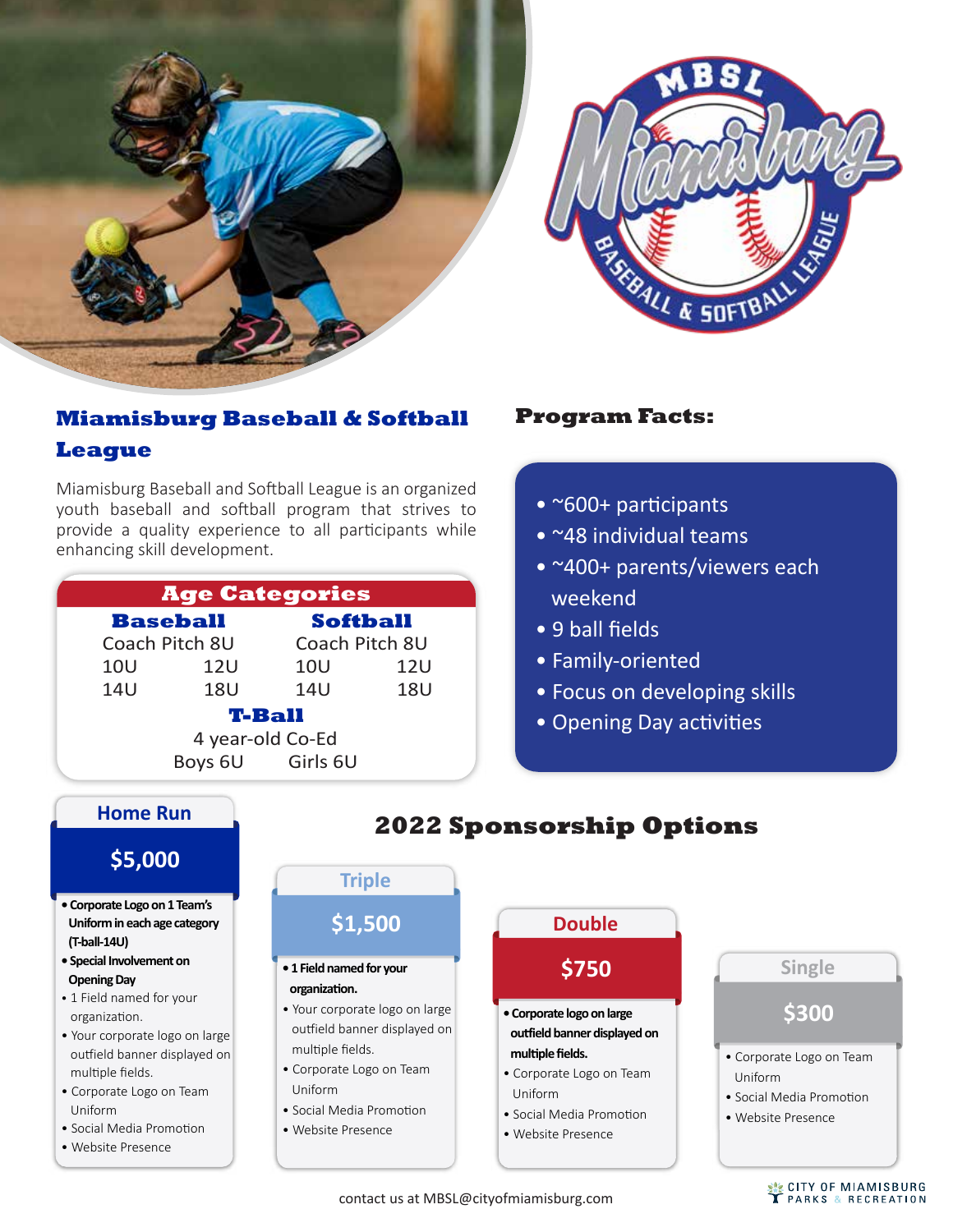

#### **Miamisburg Baseball & Softball League**

Miamisburg Baseball and So�ball League is an organized youth baseball and softball program that strives to provide a quality experience to all participants while enhancing skill development.

| <b>Age Categories</b> |                |                  |                |  |
|-----------------------|----------------|------------------|----------------|--|
| <b>Baseball</b>       |                | <b>Softball</b>  |                |  |
|                       | Coach Pitch 8U |                  | Coach Pitch 8U |  |
| <b>10U</b>            | <b>12U</b>     | <b>10U</b>       | 12U            |  |
| <b>14U</b>            | <b>18U</b>     | 14U              | <b>18U</b>     |  |
| <b>T-Ball</b>         |                |                  |                |  |
| 4 year-old Co-Ed      |                |                  |                |  |
|                       |                | Boys 6U Girls 6U |                |  |

#### **Program Facts:**

- ~600+ participants
- ~48 individual teams
- ~400+ parents/viewers each weekend
- 9 ball fields
- Family-oriented
- Focus on developing skills
- Opening Day activities



contact us at MBSL@cityofmiamisburg.com

**WE CITY OF MIAMISBURG**<br>TPARKS & RECREATION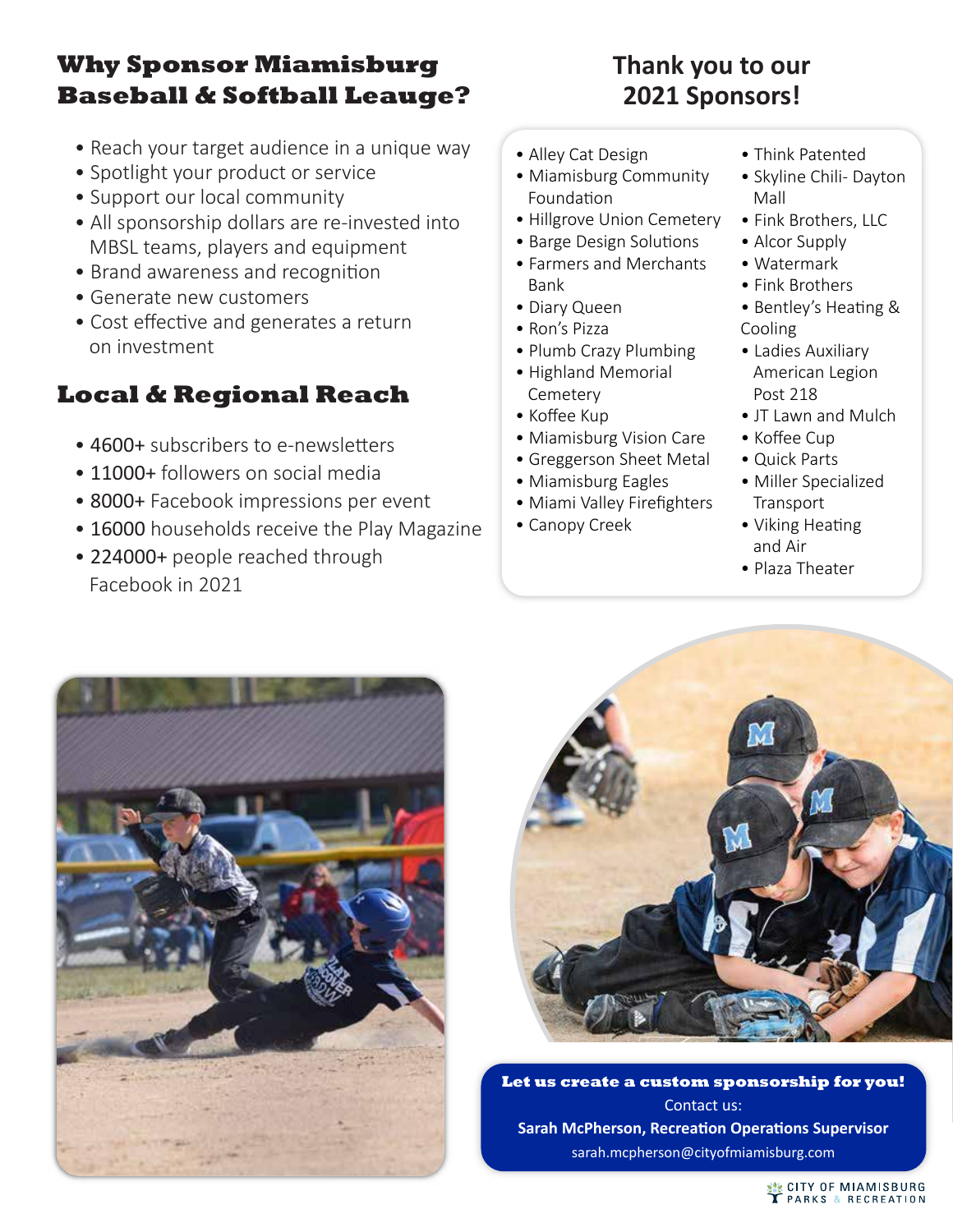# **Why Sponsor Miamisburg Baseball & Softball Leauge?**

- Reach your target audience in a unique way
- Spotlight your product or service
- Support our local community
- All sponsorship dollars are re-invested into MBSL teams, players and equipment
- Brand awareness and recognition
- Generate new customers
- Cost effective and generates a return on investment

### **Local & Regional Reach**

- 4600+ subscribers to e-newsletters
- 11000+ followers on social media
- 8000+ Facebook impressions per event
- 16000 households receive the Play Magazine
- 224000+ people reached through Facebook in 2021

# **Thank you to our 2021 Sponsors!**

- Alley Cat Design
- Miamisburg Community Foundation
- Hillgrove Union Cemetery
- Barge Design Solutions
- Farmers and Merchants Bank
- Diary Queen
- Ron's Pizza
- Plumb Crazy Plumbing
- Highland Memorial Cemetery
- Koffee Kup
- Miamisburg Vision Care
- Greggerson Sheet Metal
- Miamisburg Eagles
- Miami Valley Firefighters
- Canopy Creek
- Think Patented
- Skyline Chili- Dayton Mall
- Fink Brothers, LLC
- Alcor Supply
- Watermark
- Fink Brothers
- Bentley's Heating & Cooling
- Ladies Auxiliary American Legion Post 218
- JT Lawn and Mulch
- Koffee Cup
- Quick Parts
- Miller Specialized **Transport**
- Viking Heating and Air
- Plaza Theater





**Let us create a custom sponsorship for you!** Contact us: **Sarah McPherson, Recreation Operations Supervisor** sarah.mcpherson@cityofmiamisburg.com